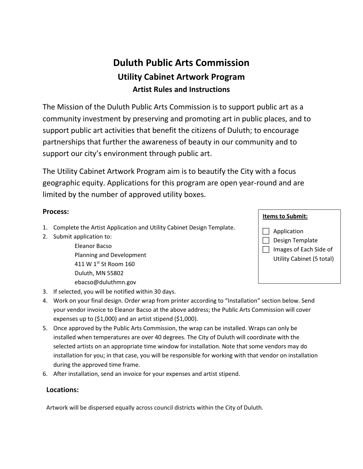# **Duluth Public Arts Commission Utility Cabinet Artwork Program Artist Rules and Instructions**

The Mission of the Duluth Public Arts Commission is to support public art as a community investment by preserving and promoting art in public places, and to support public art activities that benefit the citizens of Duluth; to encourage partnerships that further the awareness of beauty in our community and to support our city's environment through public art.

The Utility Cabinet Artwork Program aim is to beautify the City with a focus geographic equity. Applications for this program are open year-round and are limited by the number of approved utility boxes.

#### **Process:**

- 1. Complete the Artist Application and Utility Cabinet Design Template.
- 2. Submit application to:
	- Eleanor Bacso Planning and Development 411 W 1st St Room 160 Duluth, MN 55802 ebacso@duluthmn.gov
- 3. If selected, you will be notified within 30 days.
- 4. Work on your final design. Order wrap from printer according to "Installation" section below. Send your vendor invoice to Eleanor Bacso at the above address; the Public Arts Commission will cover expenses up to (\$1,000) and an artist stipend (\$1,000).
- 5. Once approved by the Public Arts Commission, the wrap can be installed. Wraps can only be installed when temperatures are over 40 degrees. The City of Duluth will coordinate with the selected artists on an appropriate time window for installation. Note that some vendors may do installation for you; in that case, you will be responsible for working with that vendor on installation during the approved time frame.
- 6. After installation, send an invoice for your expenses and artist stipend.

#### **Locations:**

Artwork will be dispersed equally across council districts within the City of Duluth.

### **Items to Submit:**

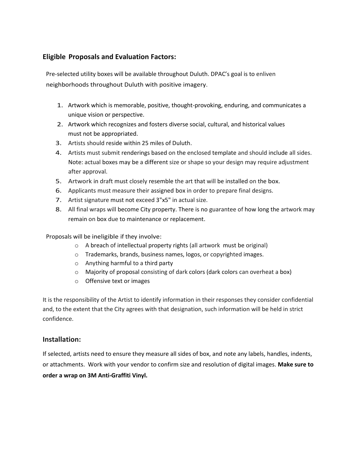### **Eligible Proposals and Evaluation Factors:**

Pre-selected utility boxes will be available throughout Duluth. DPAC's goal is to enliven neighborhoods throughout Duluth with positive imagery.

- 1. Artwork which is memorable, positive, thought-provoking, enduring, and communicates a unique vision or perspective.
- 2. Artwork which recognizes and fosters diverse social, cultural, and historical values must not be appropriated.
- 3. Artists should reside within 25 miles of Duluth.
- 4. Artists must submit renderings based on the enclosed template and should include all sides. Note: actual boxes may be a different size or shape so your design may require adjustment after approval.
- 5. Artwork in draft must closely resemble the art that will be installed on the box.
- 6. Applicants must measure their assigned box in order to prepare final designs.
- 7. Artist signature must not exceed 3"x5" in actual size.
- 8. All final wraps will become City property. There is no guarantee of how long the artwork may remain on box due to maintenance or replacement.

Proposals will be ineligible if they involve:

- o A breach of intellectual property rights (all artwork must be original)
- o Trademarks, brands, business names, logos, or copyrighted images.
- o Anything harmful to a third party
- o Majority of proposal consisting of dark colors (dark colors can overheat a box)
- o Offensive text or images

It is the responsibility of the Artist to identify information in their responses they consider confidential and, to the extent that the City agrees with that designation, such information will be held in strict confidence.

#### **Installation:**

If selected, artists need to ensure they measure all sides of box, and note any labels, handles, indents, or attachments. Work with your vendor to confirm size and resolution of digital images. **Make sure to order a wrap on 3M Anti-Graffiti Vinyl.**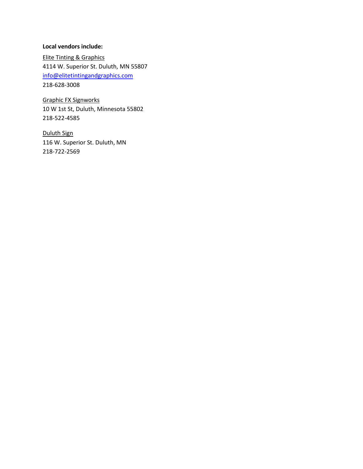#### **Local vendors include:**

Elite Tinting & Graphics 4114 W. Superior St. Duluth, MN 55807 [info@elitetintingandgraphics.com](mailto:info@elitetintingandgraphics.com) 218-628-3008

Graphic FX Signworks 10 W 1st St, Duluth, Minnesota 55802 218-522-4585

Duluth Sign 116 W. Superior St. Duluth, MN 218-722-2569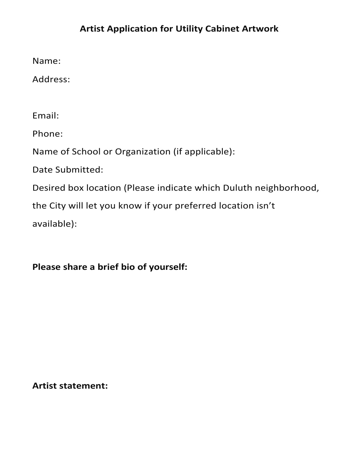## **Artist Application for Utility Cabinet Artwork**

Name:

Address:

Email:

Phone:

Name of School or Organization (if applicable):

Date Submitted:

Desired box location (Please indicate which Duluth neighborhood,

the City will let you know if your preferred location isn't

available):

**Please share a brief bio of yourself:** 

**Artist statement:**